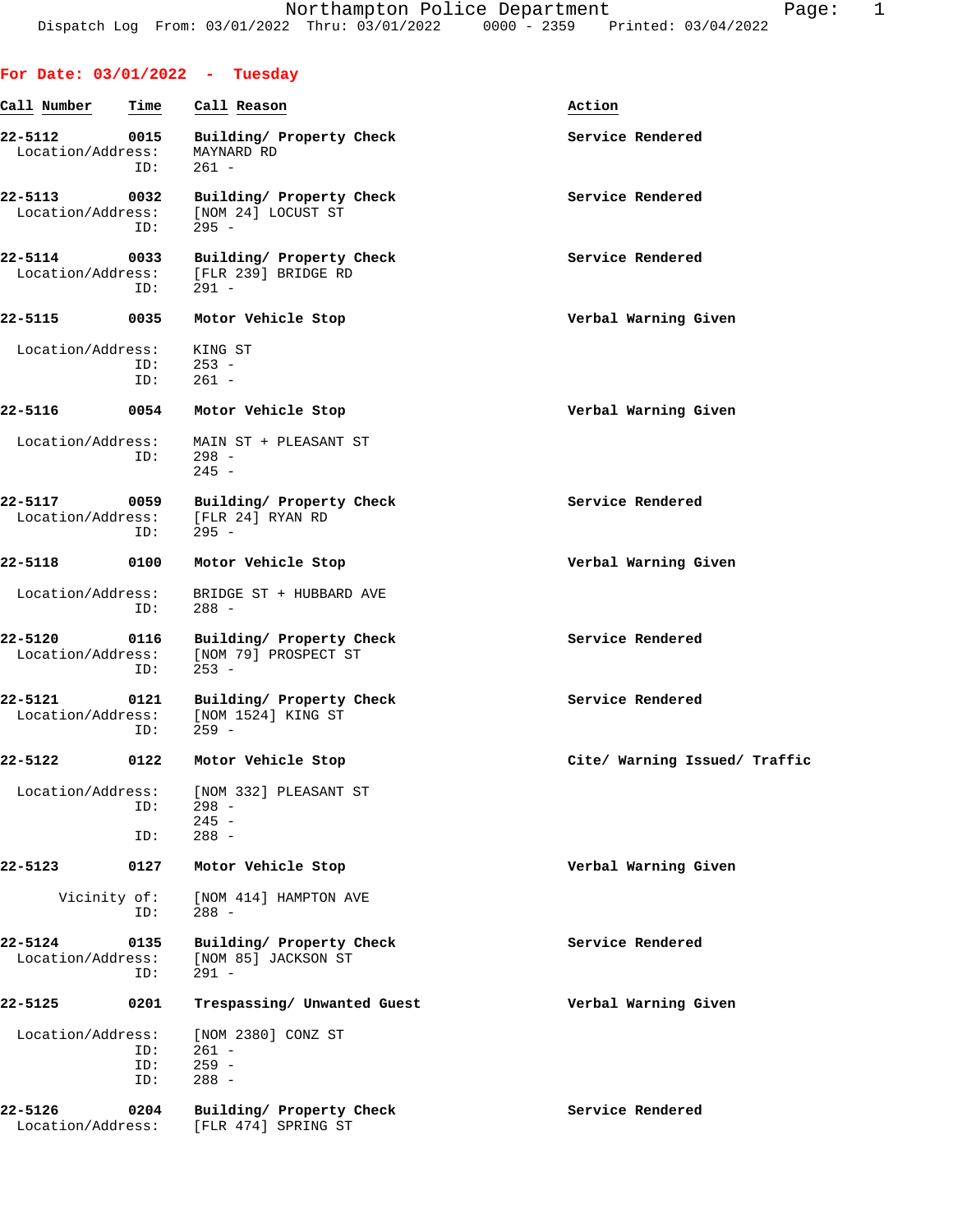## **For Date: 03/01/2022 - Tuesday Call Number Time Call Reason Action 22-5112 0015 Building/ Property Check Service Rendered** Location/Address: MAYNARD RD ID: 261 - 22-5113 0032 Building/ Property Check **Service Rendered** Location/Address: [NOM 24] LOCUST ST<br>ID: 295 - ID: 295 - **22-5114 0033 Building/ Property Check Service Rendered** Location/Address: [FLR 239] BRIDGE RD<br>ID: 291 - ID: 291 - **22-5115 0035 Motor Vehicle Stop Verbal Warning Given** Location/Address: KING ST ID: 253 - ID: 261 - **22-5116 0054 Motor Vehicle Stop Verbal Warning Given** Location/Address: MAIN ST + PLEASANT ST ID: 298 - 245 - **22-5117 0059 Building/ Property Check Service Rendered** Location/Address: [FLR 24] RYAN RD ID: 295 - **22-5118 0100 Motor Vehicle Stop Verbal Warning Given** Location/Address: BRIDGE ST + HUBBARD AVE ID: 288 - **22-5120** 0116 Building/Property Check Service Rendered Location/Address: [NOM 79] PROSPECT ST [NOM 79] PROSPECT ST ID: 253 - 22-5121 0121 Building/ Property Check **Service Rendered**  Location/Address: [NOM 1524] KING ST ID: 259 - **22-5122 0122 Motor Vehicle Stop Cite/ Warning Issued/ Traffic** Location/Address: [NOM 332] PLEASANT ST ID: 298 -  $245 -$  ID: 288 - **22-5123 0127 Motor Vehicle Stop Verbal Warning Given** Vicinity of: [NOM 414] HAMPTON AVE 288 -**22-5124 0135 Building/ Property Check Service Rendered** Location/Address: [NOM 85] JACKSON ST<br>ID: 291 - $291 -$ **22-5125 0201 Trespassing/ Unwanted Guest Verbal Warning Given** Location/Address: [NOM 2380] CONZ ST ID: 261 - ID: 259 - ID: 288 - 22-5126 0204 Building/ Property Check **Service Rendered** Location/Address: [FLR 474] SPRING ST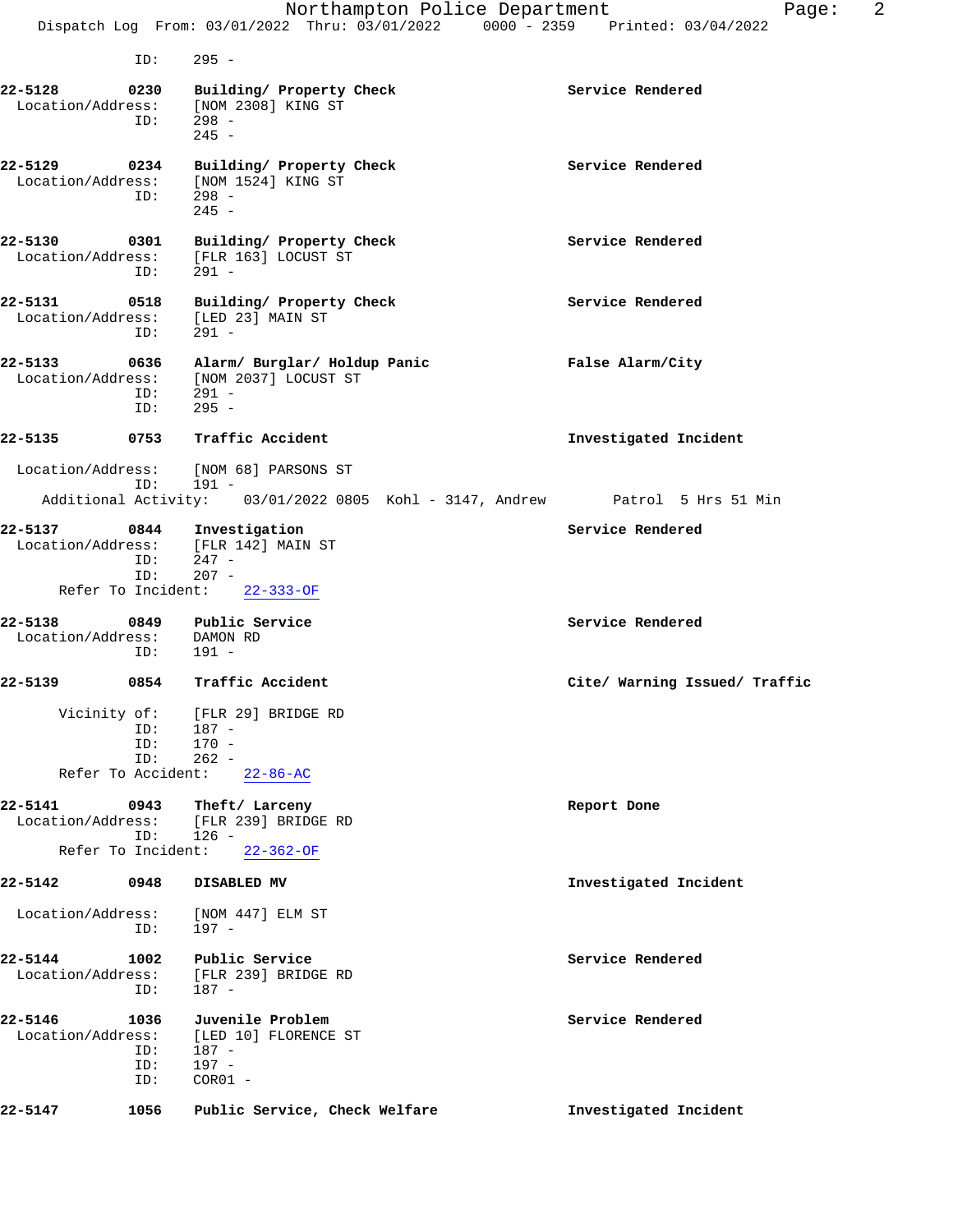Dispatch Log From: 03/01/2022 Thru: 03/01/2022 0000 - 2359 Printed: 03/04/2022 ID: 295 - **22-5128 0230 Building/ Property Check Service Rendered** Location/Address: [NOM 2308] KING ST ID: 298 - 245 - **22-5129 0234 Building/ Property Check Service Rendered** Location/Address: [NOM 1524] KING ST Location/Address: [NOM 1524] KING ST ID: 298 -  $245 -$ 22-5130 0301 Building/ Property Check **Service Rendered**  Location/Address: [FLR 163] LOCUST ST ID: 291 - **22-5131 0518 Building/ Property Check Service Rendered** Location/Address: [LED 23] MAIN ST ID: 291 - **22-5133 0636 Alarm/ Burglar/ Holdup Panic False Alarm/City** Location/Address: [NOM 2037] LOCUST ST ID: 291 - ID: 295 - **22-5135 0753 Traffic Accident Investigated Incident** Location/Address: [NOM 68] PARSONS ST ID: 191 - Additional Activity: 03/01/2022 0805 Kohl - 3147, Andrew Patrol 5 Hrs 51 Min **22-5137 0844 Investigation Service Rendered** Location/Address: [FLR 142] MAIN ST ID: 247 - ID: 207 - Refer To Incident: 22-333-OF **22-5138 0849 Public Service Service Rendered** Location/Address: DAMON RD ID: 191 - **22-5139 0854 Traffic Accident Cite/ Warning Issued/ Traffic** Vicinity of: [FLR 29] BRIDGE RD ID: 187 - ID: 170 -<br>ID: 262 - $262 -$  Refer To Accident: 22-86-AC **22-5141 0943 Theft/ Larceny Report Done** Location/Address: [FLR 239] BRIDGE RD ID: 126 - Refer To Incident: 22-362-OF **22-5142 0948 DISABLED MV Investigated Incident** Location/Address: [NOM 447] ELM ST ID: 197 - **22-5144 1002 Public Service Service Rendered** Location/Address: [FLR 239] BRIDGE RD ID: 187 - **22-5146** 1036 Juvenile Problem **1036** Service Rendered Location/Address: [LED 10] FLORENCE ST Location/Address: [LED 10] FLORENCE ST ID: 187 - ID: 197 -

ID: COR01 -

**22-5147 1056 Public Service, Check Welfare Investigated Incident**